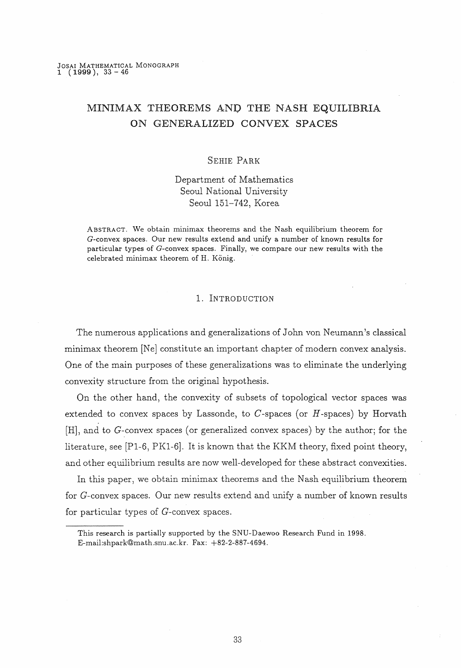# $MINIMAX$  THEOREMS AND THE NASH EQUILIBRIA ON GENERALIZED CONVEX SPACES

#### SEHIE PARK

Department of Mathematics Seoul National University Seoul 151-742, Korea

ABSTRACT. We obtain minimax theorerns and the Nash equilibrium theorem for G-convex spaces. Our new results extend and unify a number of known results for particular types of G-convex spaces. Finally, we compare our new results with the celebrated minimax theorem of H. König.

### l. INTRODUCTION

The numerous applications and generalizations of John von Neumann's classical minimax theorem [Ne] constitute an important chapter of modern convex analysis. One of the main purposes of these generalizations was to eliminate the underlying convexity structure from the original hypothesis.

On the other hand, the convexity of subsets of topological vector spaces was extended to convex spaces by Lassonde, to  $C$ -spaces (or  $H$ -spaces) by Horvath [H], and to G-convex spaces (or generalized convex spaces) by the author; for the literature, see  $[P1-6, PK1-6]$ . It is known that the KKM theory, fixed point theory, and other equilibrium results are now well-developed for these abstract convexities.

In this paper, we obtain minimax theorems and the Nash equilibrium theorem for G-convex spaces. Our new results extend and unify a number of known results for particular types of G-convex spaces.

This research is partially supported by the SNU-Daewoo Research Fund in 1998. E-mail:shpark@math.snu.ac.kr. Fax: +82-2-887-4694.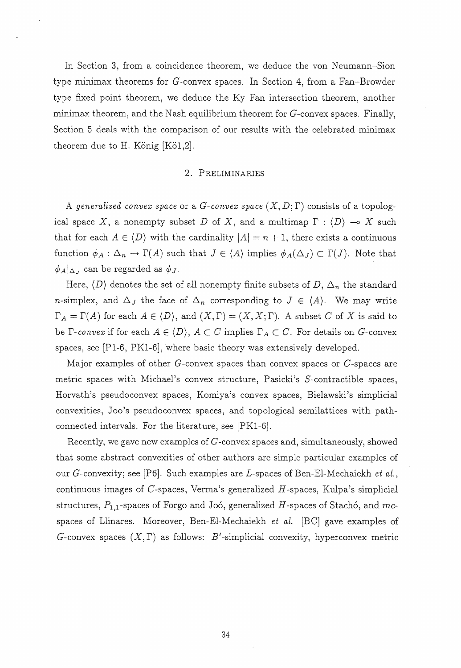In Section 3, from a coincidence theorem, we deduce the von Neumann-Sion type minimax theorems for G-convex spaces. In Section 4, from a Fan-Browder type flxed point theorem, we deduce the Ky Fan intersection theorem, another minimax theorem, and the Nash equilibrium theorem for  $G$ -convex spaces. Finally, Section 5 deals with the comparison of our results with the celebrated minimax theorem due to H. König  $[K\ddot{o}1,2]$ .

#### 2. PRELIMINARIES

A generalized convex space or a G-convex space  $(X, D; \Gamma)$  consists of a topological space X, a nonempty subset D of X, and a multimap  $\Gamma : \langle D \rangle \to X$  such that for each  $A \in \langle D \rangle$  with the cardinality  $|A| = n + 1$ , there exists a continuous function  $\phi_A : \Delta_n \to \Gamma(A)$  such that  $J \in \langle A \rangle$  implies  $\phi_A(\Delta_J) \subset \Gamma(J)$ . Note that  $\phi_A|_{\Delta_J}$  can be regarded as  $\phi_J$ .

Here,  $\langle D \rangle$  denotes the set of all nonempty finite subsets of  $D, \Delta_n$  the standard *n*-simplex, and  $\Delta_J$  the face of  $\Delta_n$  corresponding to  $J \in \langle A \rangle$ . We may write  $\Gamma_A = \Gamma(A)$  for each  $A \in \langle D \rangle$ , and  $(X, \Gamma) = (X, X; \Gamma)$ . A subset C of X is said to be  $\Gamma$ -convex if for each  $A \in \langle D \rangle$ ,  $A \subset C$  implies  $\Gamma_A \subset C$ . For details on G-convex spaces, see [Pl-6, PKl-6]) where basic theory was extensively developed.

Major examples of other G-convex spaces than convex spaces or C-spaces are metric spaces with Michael's convex structure, Pasicki's S-contractible spaces, Horvath's pseudoconvex spaces, Komiya's convex spaces, Bielawski's simplicial convexities. Joo's pseudoconvex spaces, and topological semilattices with pathconnected intervals. For the literature, see  $[PK1-6]$ .

Recently, we gave new examples of G-convex spaces and, simultaneously, showed that some abstract convexities of other authors are simple particular examples of our G-convexity; see [P6]. Such examples are L-spaces of Ben-El-Mechaiekh et al., continuous images of  $C$ -spaces, Verma's generalized  $H$ -spaces, Kulpa's simplicial structures,  $P_{1,1}$ -spaces of Forgo and Joó, generalized H-spaces of Stachó, and mcspaces of Llinares. Moreover, Ben-El-Mechaiekh et al.  $[BC]$  gave examples of G-convex spaces  $(X,\Gamma)$  as follows: B'-simplicial convexity, hyperconvex metric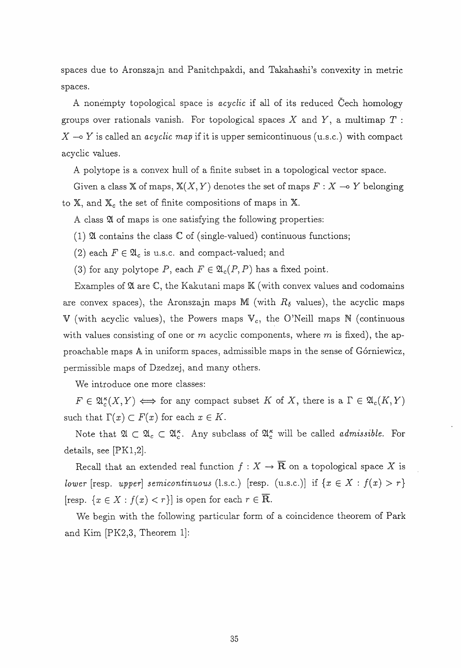spaces due to Aronszajn and Panitchpakdi) and Takahashi's convexity in metric spaces.

A nonempty topological space is *acyclic* if all of its reduced Cech homology groups over rationals vanish. For topological spaces X and Y, a multimap  $T$ :  $X \rightarrow Y$  is called an *acyclic map* if it is upper semicontinuous (u.s.c.) with compact acyclic values.

A polytope is a convex hull of a finite subset in a topological vector space.

Given a class X of maps,  $X(X, Y)$  denotes the set of maps  $F: X \longrightarrow Y$  belonging to  $X$ , and  $X_c$  the set of finite compositions of maps in  $X$ .

A class 21 of maps is one satisfying the following properties:

(1)  $\mathfrak A$  contains the class  $\mathbb C$  of (single-valued) continuous functions;

- (2) each  $F \in \mathfrak{A}_c$  is u.s.c. and compact-valued; and
- (3) for any polytope P, each  $F \in \mathfrak{A}_c(P, P)$  has a fixed point.

Examples of  $\mathfrak A$  are  $\mathbb C$ , the Kakutani maps  $\mathbb K$  (with convex values and codomains are convex spaces), the Aronszajn maps M (with  $R_{\delta}$  values), the acyclic maps  $V$  (with acyclic values), the Powers maps  $V_c$ , the O'Neill maps N (continuous with values consisting of one or m acyclic components, where m is fixed), the approachable maps A in uniform spaces, admissible maps in the sense of Górniewicz, permissible maps of Dzedzej, and many others.

We introduce one more classes:

 $F \in \mathfrak{A}_{c}^{\kappa}(X,Y) \Longleftrightarrow$  for any compact subset K of X, there is a  $\Gamma \in \mathfrak{A}_{c}(K,Y)$ such that  $\Gamma(x) \subset F(x)$  for each  $x \in K$ .

Note that  $\mathfrak{A} \subset \mathfrak{A}_c \subset \mathfrak{A}_c^*$ . Any subclass of  $\mathfrak{A}_c^{\kappa}$  will be called *admissible*. For details, see [PKl,2].

Recall that an extended real function  $f : X \to \overline{R}$  on a topological space X is lower [resp. upper] semicontinuous (1.s.c.) [resp. (u.s.c.)] if  $\{x \in X : f(x) > r\}$ [resp.  $\{x \in X : f(x) < r\}$ ] is open for each  $r \in \overline{\mathbb{R}}$ .

We begin with the following particular form of a coincidence theorem of Park and Kim [PK2,3, Theorem l]: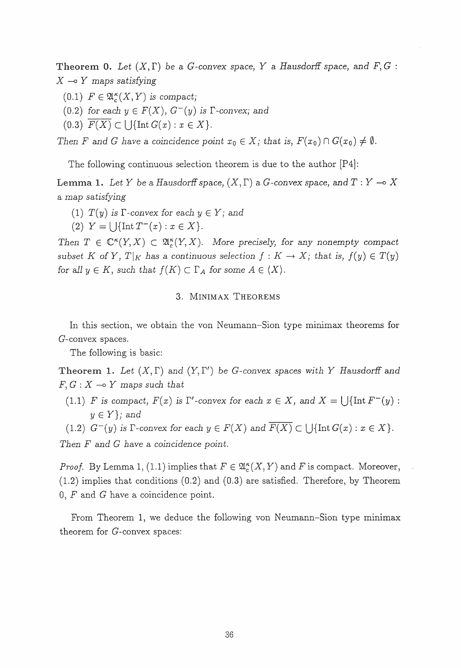**Theorem 0.** Let  $(X, \Gamma)$  be a G-convex space, Y a Hausdorff space, and F, G:  $X \multimap Y$  maps satisfying

- $(0.1)$   $F \in \mathfrak{A}_{c}^{\kappa}(X,Y)$  is compact;
- (0.2) for each  $y \in F(X)$ ,  $G^{-}(y)$  is  $\Gamma$ -convex; and
- (0.3)  $F(X) \subset \bigcup \{ \text{Int } G(x) : x \in X \}.$

Then F and G have a coincidence point  $x_0 \in X$ ; that is,  $F(x_0) \cap G(x_0) \neq \emptyset$ .

The following continuous selection theorem is due to the author  $[P4]$ :

**Lemma 1.** Let Y be a Hausdorff space,  $(X, \Gamma)$  a G-convex space, and  $T:Y\rightarrow X$ a map satisfying

- (1)  $T(y)$  is  $\Gamma$ -convex for each  $y \in Y$ ; and
- (2)  $Y = \bigcup \{\text{Int } T^{-}(x) : x \in X\}.$

Then  $T \in \mathbb{C}^{\kappa}(Y,X) \subset \mathfrak{A}_{\kappa}^{\kappa}(Y,X)$ . More precisely, for any nonempty compact subset K of Y,  $T|_K$  has a continuous selection  $f:K\to X$ ; that is,  $f(y)\in T(y)$ for all  $y \in K$ , such that  $f(K) \subset \Gamma_A$  for some  $A \in \langle X \rangle$ .

#### 3. MINIMAX THEOREMS

In this section, we obtain the von Neumann-Sion type minimax theorems for G-convex spaces.

The following is basic:

Theorem 1. Let  $(X, \Gamma)$  and  $(Y, \Gamma')$  be G-convex spaces with Y Hausdorff and  $F, G: X \rightarrow Y$  maps such that

(1.1) F is compact,  $F(x)$  is  $\Gamma'$ -convex for each  $x \in X$ , and  $X = \bigcup \{\text{Int } F^-(y) :$  $y \in Y$ ; and

(1.2)  $G^-(y)$  is  $\Gamma$ -convex for each  $y \in F(X)$  and  $\overline{F(X)} \subset \bigcup \{ \text{Int } G(x) : x \in X \}.$ 

Then  $F$  and  $G$  have a coincidence point.

*Proof.* By Lemma 1, (1.1) implies that  $F \in \mathfrak{A}_{\mathcal{C}}^{\kappa}(X,Y)$  and F is compact. Moreover,  $(1.2)$  implies that conditions  $(0.2)$  and  $(0.3)$  are satisfied. Therefore, by Theorem  $0, F$  and G have a coincidence point.

From Theorem 1, we deduce the following von Neumann-Sion type minimax theorem for  $G$ -convex spaces: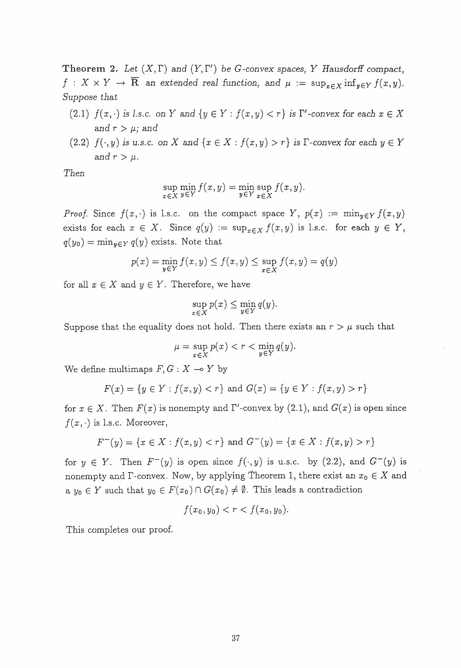Theorem 2. Let  $(X, \Gamma)$  and  $(Y, \Gamma')$  be G-convex spaces, Y Hausdorff compact,  $f : X \times Y \to \overline{\mathbf{R}}$  an extended real function, and  $\mu := \sup_{x \in X} \inf_{y \in Y} f(x, y)$ . Suppose that

- (2.1)  $f(x, \cdot)$  is l.s.c. on Y and  $\{y \in Y : f(x, y) < r\}$  is  $\Gamma'$ -convex for each  $x \in X$ and  $r > \mu$ ; and
- (2.2)  $f(\cdot, y)$  is u.s.c. on X and  $\{x \in X : f(x, y) > r\}$  is  $\Gamma$ -convex for each  $y \in Y$ and  $r > \mu$ .

Then

$$
\sup_{x \in X} \min_{y \in Y} f(x, y) = \min_{y \in Y} \sup_{x \in X} f(x, y).
$$

*Proof.* Since  $f(x, \cdot)$  is l.s.c. on the compact space Y,  $p(x) := \min_{y \in Y} f(x, y)$ exists for each  $x \in X$ . Since  $q(y) := \sup_{x \in X} f(x, y)$  is l.s.c. for each  $y \in Y$ ,  $q(y_0) = \min_{y \in Y} q(y)$  exists. Note that

$$
p(x) = \min_{y \in Y} f(x, y) \le f(x, y) \le \sup_{x \in X} f(x, y) = q(y)
$$

for all  $x \in X$  and  $y \in Y$ . Therefore, we have

$$
\sup_{x \in X} p(x) \le \min_{y \in Y} q(y).
$$

Suppose that the equality does not hold. Then there exists an  $r > \mu$  such that

$$
\mu = \sup_{x \in X} p(x) < r < \min_{y \in Y} q(y).
$$

We define multimaps  $F, G : X \longrightarrow Y$  by

$$
F(x) = \{ y \in Y : f(x, y) < r \} \text{ and } G(x) = \{ y \in Y : f(x, y) > r \}
$$

for  $x \in X$ . Then  $F(x)$  is nonempty and  $\Gamma'$ -convex by  $(2.1)$ , and  $G(x)$  is open since  $f(x, \cdot)$  is l.s.c. Moreover,

$$
F^{-}(y) = \{x \in X : f(x, y) < r\} \text{ and } G^{-}(y) = \{x \in X : f(x, y) > r\}
$$

for  $y \in Y$ . Then  $F^-(y)$  is open since  $f(\cdot, y)$  is u.s.c. by (2.2), and  $G^-(y)$  is nonempty and  $\Gamma$ -convex. Now, by applying Theorem 1, there exist an  $x_0 \in X$  and a  $y_0 \in Y$  such that  $y_0 \in F(x_0) \cap G(x_0) \neq \emptyset$ . This leads a contradiction

$$
f(x_0, y_0) < r < f(x_0, y_0).
$$

This completes our proof.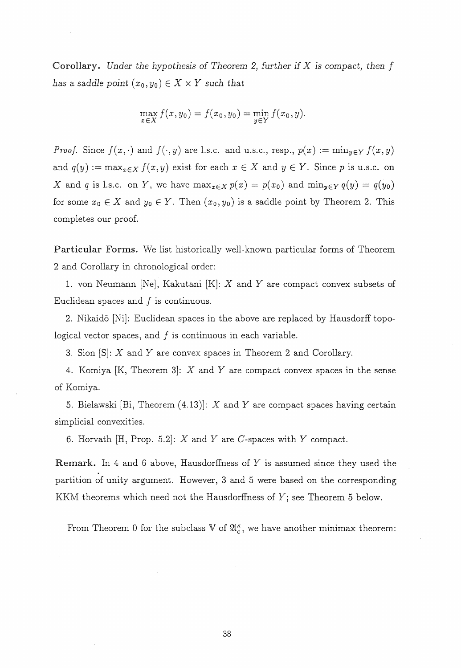**Corollary.** Under the hypothesis of Theorem 2, further if  $X$  is compact, then  $f$ has a saddle point  $(x_0, y_0) \in X \times Y$  such that

$$
\max_{x \in X} f(x, y_0) = f(x_0, y_0) = \min_{y \in Y} f(x_0, y).
$$

*Proof.* Since  $f(x, \cdot)$  and  $f(\cdot, y)$  are l.s.c. and u.s.c., resp.,  $p(x) := \min_{y \in Y} f(x, y)$ and  $q(y) := \max_{x \in X} f(x, y)$  exist for each  $x \in X$  and  $y \in Y$ . Since p is u.s.c. on X and q is l.s.c. on Y, we have  $\max_{x \in X} p(x) = p(x_0)$  and  $\min_{y \in Y} q(y) = q(y_0)$ for some  $x_0 \in X$  and  $y_0 \in Y$ . Then  $(x_0, y_0)$  is a saddle point by Theorem 2. This completes our proof.

Particular Forms. We list bistorically well-known particular forms of Theorem 2 and Corollary in chronological order:

1. von Neumann [Ne], Kakutani  $[K]$ : X and Y are compact convex subsets of Euclidean spaces and  $f$  is continuous.

2. Nikaido [Ni]: Euclidean spaces in the above are replaced by Hausdorff topological vector spaces, and  $f$  is continuous in each variable.

3. Sion [S]: X and Y are convex spaces in Theorem 2 and Corollary.

4. Komiya [K, Theorem 3]: X and Y are compact convex spaces in the sense of Komiya.

5. Bielawski [Bi, Theorem  $(4.13)$ ]: X and Y are compact spaces having certain simplicial convexities.

6. Horvath [H, Prop. 5.2]:  $X$  and  $Y$  are  $C$ -spaces with  $Y$  compact.

Remark. In 4 and 6 above, Hausdorffness of Y is assumed since they used the partition of unity argument. However, 3 and 5 were based on the corresponding KKM theorems which need not the Hausdorffness of  $Y$ ; see Theorem 5 below.

From Theorem 0 for the subclass  $\nabla$  of  $\mathfrak{A}_{c}^{\kappa}$ , we have another minimax theorem: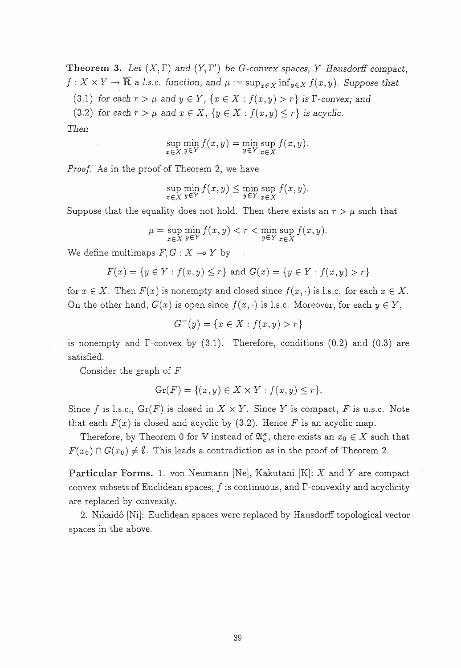Theorem 3. Let  $(X, \Gamma)$  and  $(Y, \Gamma')$  be G-convex spaces, Y Hausdorff compact,  $f: X \times Y \to \overline{\mathbf{R}}$  a l.s.c. function, and  $\mu := \sup_{x \in X} \inf_{y \in X} f(x, y)$ . Suppose that

(3.1) for each  $r > \mu$  and  $y \in Y$ ,  $\{x \in X : f(x,y) > r\}$  is  $\Gamma$ -convex; and

(3.2) for each  $r > \mu$  and  $x \in X$ ,  $\{y \in X : f(x, y) \le r\}$  is acyclic.

 $Then$ 

$$
\sup_{x \in X} \min_{y \in Y} f(x, y) = \min_{y \in Y} \sup_{x \in X} f(x, y).
$$

*Proof.* As in the proof of Theorem 2, we have

$$
\sup_{x \in X} \min_{y \in Y} f(x, y) \le \min_{y \in Y} \sup_{x \in X} f(x, y).
$$

Suppose that the equality does not hold. Then there exists an  $r > \mu$  such that

$$
\mu = \sup_{x \in X} \min_{y \in Y} f(x, y) < r < \min_{y \in Y} \sup_{x \in X} f(x, y).
$$

We define multimaps  $F, G: X \rightarrow Y$  by

$$
F(x) = \{ y \in Y : f(x, y) \le r \} \text{ and } G(x) = \{ y \in Y : f(x, y) > r \}
$$

for  $x \in X$ . Then  $F(x)$  is nonempty and closed since  $f(x, \cdot)$  is l.s.c. for each  $x \in X$ . On the other hand,  $G(x)$  is open since  $f(x, \cdot)$  is l.s.c. Moreover, for each  $y \in Y$ ,

$$
G^{-}(y) = \{ x \in X : f(x, y) > r \}
$$

is nonempty and  $\Gamma$ -convex by  $(3.1)$ . Therefore, conditions  $(0.2)$  and  $(0.3)$  are satisfied.

Consider the graph of F

$$
\operatorname{Gr}(F) = \{(x, y) \in X \times Y : f(x, y) \le r\}.
$$

Since f is l.s.c.,  $Gr(F)$  is closed in  $X \times Y$ . Since Y is compact, F is u.s.c. Note that each  $F(x)$  is closed and acyclic by (3.2). Hence F is an acyclic map.

Therefore, by Theorem 0 for V instead of  $\mathfrak{A}_{c}^{\kappa}$ , there exists an  $x_0 \in X$  such that  $F(x_0) \cap G(x_0) \neq \emptyset$ . This leads a contradiction as in the proof of Theorem 2.

Particular Forms. 1. von Neumann [Ne], Kakutani [K]: X and Y are compact convex subsets of Euclidean spaces,  $f$  is continuous, and  $\Gamma$ -convexity and acyclicity are replaced by convexity.

2. Nikaid6 [Ni]: Euclidean spaces were replaced by Hausdorff topological vector spaces in the above.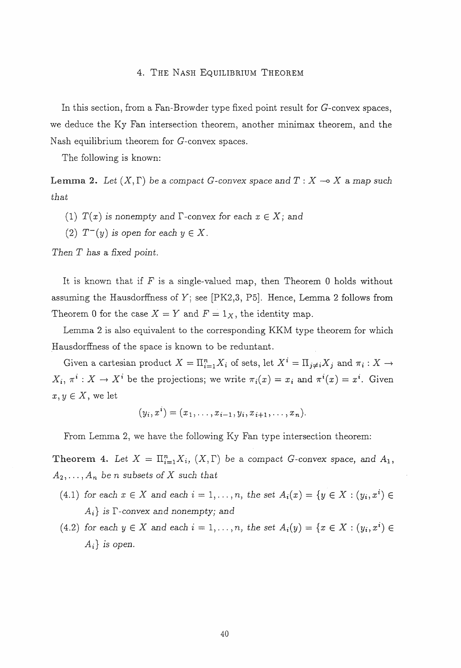#### 4. THE NASH EQUILIBRIUM THEOREM

In this section, from a Fan-Browder type fixed point result for  $G$ -convex spaces, we deduce the Ky Fan intersection theorem, another minimax theorem, and the Nash equilibrium theorem for G-convex spaces.

The following is known:

Lemma 2. Let  $(X, \Gamma)$  be a compact G-convex space and  $T : X \to X$  a map such that

- (1)  $T(x)$  is nonempty and  $\Gamma$ -convex for each  $x \in X$ ; and
- (2)  $T^-(y)$  is open for each  $y \in X$ .

Then  $T$  has a fixed point.

It is known that if  $F$  is a single-valued map, then Theorem 0 holds without assuming the Hausdorffness of  $Y$ ; see [PK2,3, P5]. Hence, Lemma 2 follows from Theorem 0 for the case  $X = Y$  and  $F = 1_X$ , the identity map.

Lemma 2 is also equivalent to the corresponding KKM type theorem for which Hausdorffness of the space is known to be reduntant.

Given a cartesian product  $X = \prod_{i=1}^n X_i$  of sets, let  $X^i = \prod_{j \neq i} X_j$  and  $\pi_i : X \to Y$  $X_i, \pi^i: X \to X^i$  be the projections; we write  $\pi_i(x) = x_i$  and  $\pi^i(x) = x^i$ . Given  $x, y \in X$ , we let

 $(y_i, x^i) = (x_1, \ldots, x_{i-1}, y_i, x_{i+1}, \ldots, x_n).$ 

From Lemma 2, we have the following Ky Fan type intersection theorem:

Theorem 4. Let  $X = \prod_{i=1}^n X_i$ ,  $(X, \Gamma)$  be a compact G-convex space, and  $A_1$ ,  $A_2, \ldots, A_n$  be n subsets of X such that

- (4.1) for each  $x \in X$  and each  $i = 1, \ldots, n$ , the set  $A_i(x) = \{y \in X : (y_i, x^i) \in X\}$  $A_i$  is  $\Gamma$ -convex and nonempty; and
- (4.2) for each  $y \in X$  and each  $i = 1, \ldots, n$ , the set  $A_i(y) = \{x \in X : (y_i, x^i) \in$  $A_i$  is open.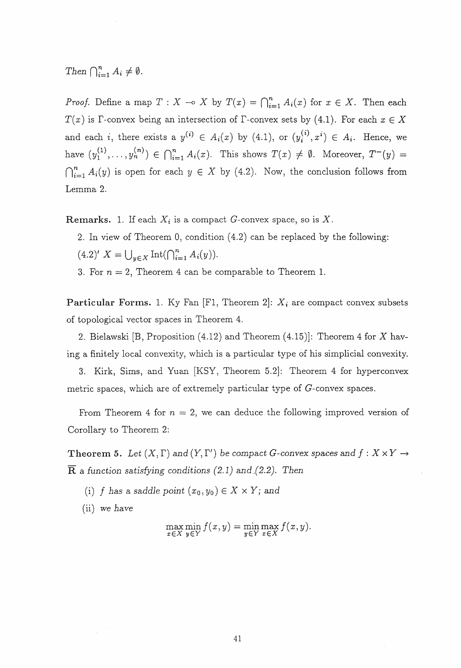Then  $\bigcap_{i=1}^n A_i \neq \emptyset$ .

*Proof.* Define a map  $T : X \to X$  by  $T(x) = \bigcap_{i=1}^{n} A_i(x)$  for  $x \in X$ . Then each  $T(x)$  is  $\Gamma$ -convex being an intersection of  $\Gamma$ -convex sets by (4.1). For each  $x \in X$ and each i, there exists a  $y^{(i)} \in A_i(x)$  by (4.1), or  $(y_i^{(i)}, x^i) \in A_i$ . Hence, we have  $(y_1^{(1)},..., y_n^{(n)}) \in \bigcap_{i=1}^n A_i(x)$ . This shows  $T(x) \neq \emptyset$ . Moreover,  $T^-(y) =$  $\bigcap_{i=1}^{n} A_i(y)$  is open for each  $y \in X$  by (4.2). Now, the conclusion follows from Lemma 2.

**Remarks.** 1. If each  $X_i$  is a compact G-convex space, so is X.

- 2. In view of Theorem O) condition (4.2) can be replaced by the following:  $(4.2)'$   $X = \bigcup_{y \in X} \text{Int}(\bigcap_{i=1}^{n} A_i(y)).$
- 3. For  $n = 2$ , Theorem 4 can be comparable to Theorem 1.

**Particular Forms.** 1. Ky Fan [F1, Theorem 2]:  $X_i$  are compact convex subsets of topological vector spaces in Theorem 4.

2. Bielawski [B, Proposition (4.12) and Theorem (4.15)]: Theorem 4 for X having a finitely local convexity, which is a particular type of his simplicial convexity.

3. Kirk, Sims, and Yuan [KSY, Theorem 5.2]: Theorem 4 for hyperconvex metric spaces, which are of extremely particular type of G-convex spaces.

From Theorem 4 for  $n = 2$ , we can deduce the following improved version of Corollary to Theorem 2:

**Theorem 5.** Let  $(X, \Gamma)$  and  $(Y, \Gamma')$  be compact G-convex spaces and  $f : X \times Y \rightarrow Y$  $\overline{\mathbf{R}}$  a function satisfying conditions (2.1) and (2.2). Then

- (i) f has a saddle point  $(x_0, y_0) \in X \times Y$ ; and
- (ii) we have

$$
\max_{x \in X} \min_{y \in Y} f(x, y) = \min_{y \in Y} \max_{x \in X} f(x, y).
$$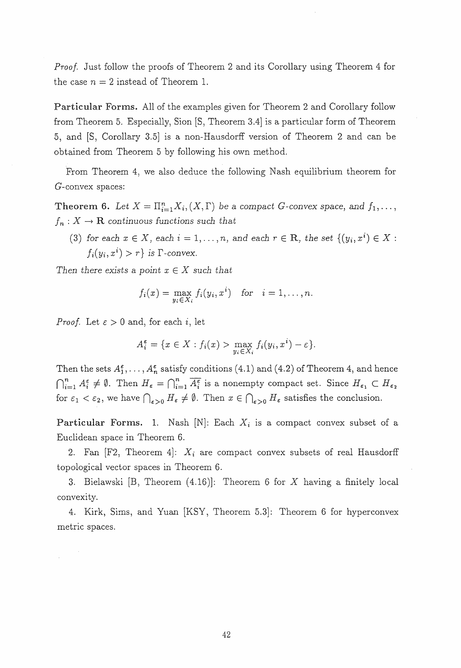Proof. Just follow the proofs of Theorem 2 and its Corollary using Theorem 4 for the case  $n = 2$  instead of Theorem 1.

Particular Forms. All of the examples given for Theorem 2 and Corollary follow from Theorem 5. Especially, Sion [S, Theorem 3.4] is a particular form of Theorem 5, and [S, Corollary 3.5] is a non-Hausdorff version of Theorem 2 and can be obtained from Theorem 5 by following his own method.

From Theorem 4, we also deduce the following Nash equilibrium theorem for G-convex spaces:

**Theorem 6.** Let  $X = \prod_{i=1}^{n} X_i$ ,  $(X, \Gamma)$  be a compact G-convex space, and  $f_1, \ldots$ ,  $f_n: X \to \mathbf{R}$  continuous functions such that

(3) for each  $x \in X$ , each  $i = 1, \ldots, n$ , and each  $r \in \mathbb{R}$ , the set  $\{(y_i, x^i) \in X$ :  $f_i(y_i, x^i) > r$  is  $\Gamma$ -convex.

Then there exists a point  $x \in X$  such that

$$
f_i(x) = \max_{y_i \in X_i} f_i(y_i, x^i) \text{ for } i = 1, \ldots, n.
$$

*Proof.* Let  $\varepsilon > 0$  and, for each i, let

$$
A_i^{\varepsilon} = \{ x \in X : f_i(x) > \max_{y_i \in X_i} f_i(y_i, x^i) - \varepsilon \}.
$$

Then the sets  $A_1^{\varepsilon}, \ldots, A_n^{\varepsilon}$  satisfy conditions (4.1) and (4.2) of Theorem 4, and hence  $\bigcap_{i=1}^n A_i^{\varepsilon} \neq \emptyset$ . Then  $H_{\varepsilon} = \bigcap_{i=1}^n \overline{A_i^{\varepsilon}}$  is a nonempty compact set. Since  $H_{\varepsilon_1} \subset H_{\varepsilon_2}$ for  $\varepsilon_1 < \varepsilon_2$ , we have  $\bigcap_{\varepsilon>0} H_{\varepsilon} \neq \emptyset$ . Then  $x \in \bigcap_{\varepsilon>0} H_{\varepsilon}$  satisfies the conclusion.

**Particular Forms.** 1. Nash [N]: Each  $X_i$  is a compact convex subset of a Euclidean space in Theorem 6.

2. Fan  $[F2,$  Theorem 4:  $X_i$  are compact convex subsets of real Hausdorff topological vector spaces in Theorem 6.

3. Bielawski [B, Theorem (4.16)]: Theorem 6 for X having a finitely local convexity.

4. Kirk, Sims, and Yuan [KSY, Theorem 5.3]: Theorem 6 for hyperconvex metric spaces.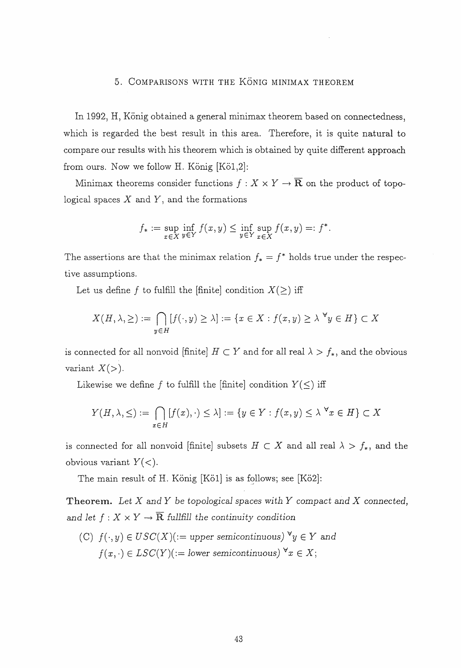## 5. COMPARISONS WITH THE KÖNIG MINIMAX THEOREM

In 1992, H, König obtained a general minimax theorem based on connectedness, which is regarded the best result in this area. Therefore, it is quite natural to compare our results with his theorem which is obtained by quite different approach from ours. Now we follow H. König  $[K\ddot{o}1,2]$ :

Minimax theorems consider functions  $f: X \times Y \to \overline{\mathbf{R}}$  on the product of topological spaces  $X$  and  $Y$ , and the formations

$$
f_* := \sup_{x \in X} \inf_{y \in Y} f(x, y) \le \inf_{y \in Y} \sup_{x \in X} f(x, y) =: f^*.
$$

The assertions are that the minimax relation  $f_* = f^*$  holds true under the respective assumptions.

Let us define f to fulfill the [finite] condition  $X(\geq)$  iff

$$
X(H, \lambda, \geq) := \bigcap_{y \in H} [f(\cdot, y) \geq \lambda] := \{x \in X : f(x, y) \geq \lambda \,\,\forall y \in H\} \subset X
$$

is connected for all nonvoid [finite]  $H \subset Y$  and for all real  $\lambda > f_*$ , and the obvious variant  $X(>)$ .

Likewise we define f to fulfill the [finite] condition  $Y(\leq)$  iff

$$
Y(H, \lambda, \leq) := \bigcap_{x \in H} [f(x), \cdot) \leq \lambda] := \{ y \in Y : f(x, y) \leq \lambda^{\forall} x \in H \} \subset X
$$

is connected for all nonvoid [finite] subsets  $H \subset X$  and all real  $\lambda > f_*$ , and the obvious variant  $Y(\langle \rangle)$ .

The main result of H. König  $[K\ddot{o}1]$  is as follows; see  $[K\ddot{o}2]$ :

Theorem. Let  $X$  and  $Y$  be topological spaces with  $Y$  compact and  $X$  connected, and let  $f: X \times Y \to \overline{\mathbb{R}}$  fullfill the continuity condition

(C)  $f(\cdot, y) \in USC(X)$  (:= upper semicontinuous)  $\forall y \in Y$  and  $f(x, \cdot) \in LSC(Y)$  (:= lower semicontinuous)  $\forall x \in X$ ;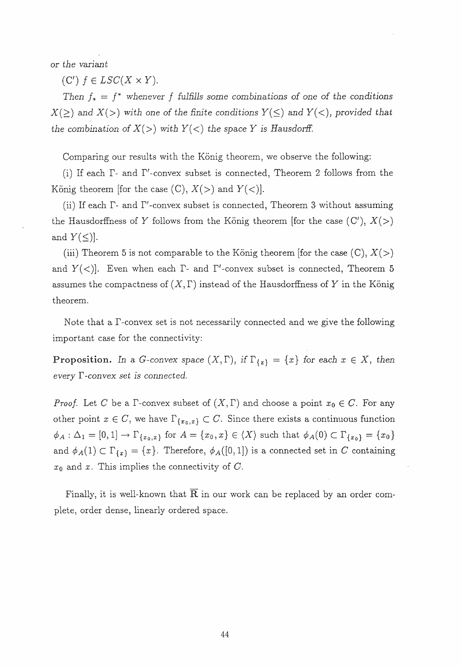or the variant

(C')  $f \in LSC(X \times Y)$ .

Then  $f_* = f^*$  whenever f fulfills some combinations of one of the conditions  $X(\geq)$  and  $X(\geq)$  with one of the finite conditions  $Y(\leq)$  and  $Y(\leq)$ , provided that the combination of  $X(\gt)$  with  $Y(\lt)$  the space Y is Hausdorff.

Comparing our results with the König theorem, we observe the following:

(i) If each  $\Gamma$ - and  $\Gamma'$ -convex subset is connected, Theorem 2 follows from the König theorem [for the case (C),  $X(>)$  and  $Y(>)$ ].

(ii) If each  $\Gamma$ - and  $\Gamma'$ -convex subset is connected, Theorem 3 without assuming the Hausdorffness of Y follows from the König theorem [for the case  $(C')$ ,  $X(>)$ and  $Y(\leq)$ .

(iii) Theorem 5 is not comparable to the König theorem [for the case  $(C), X(>)$ and  $Y(\langle \rangle)$ . Even when each  $\Gamma$ - and  $\Gamma'$ -convex subset is connected, Theorem 5 assumes the compactness of  $(X, \Gamma)$  instead of the Hausdorffness of Y in the König theorem.

Note that a  $\Gamma$ -convex set is not necessarily connected and we give the following important case for the connectivity:

**Proposition.** In a G-convex space  $(X, \Gamma)$ , if  $\Gamma_{\{x\}} = \{x\}$  for each  $x \in X$ , then every  $\Gamma$ -convex set is connected.

*Proof.* Let C be a  $\Gamma$ -convex subset of  $(X, \Gamma)$  and choose a point  $x_0 \in C$ . For any other point  $x \in C$ , we have  $\Gamma_{\{x_0, x\}} \subset C$ . Since there exists a continuous function  $\phi_A : \Delta_1 = [0, 1] \to \Gamma_{\{x_0, x\}}$  for  $A = \{x_0, x\} \in \langle X \rangle$  such that  $\phi_A(0) \subset \Gamma_{\{x_0\}} = \{x_0\}$ and  $\phi_A(1) \subset \Gamma_{\{x\}} = \{x\}.$  Therefore,  $\phi_A([0, 1])$  is a connected set in C containing  $x_0$  and x. This implies the connectivity of  $C$ .

Finally, it is well-known that  $R$  in our work can be replaced by an order complete) order dense, Iinearly ordered space.